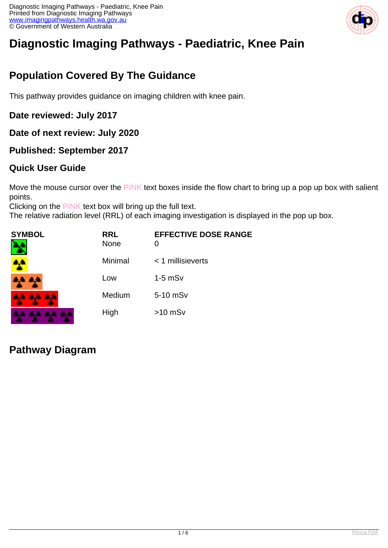

# **Diagnostic Imaging Pathways - Paediatric, Knee Pain**

# **Population Covered By The Guidance**

This pathway provides guidance on imaging children with knee pain.

**Date reviewed: July 2017**

**Date of next review: July 2020**

**Published: September 2017**

#### **Quick User Guide**

Move the mouse cursor over the PINK text boxes inside the flow chart to bring up a pop up box with salient points.

Clicking on the PINK text box will bring up the full text.

The relative radiation level (RRL) of each imaging investigation is displayed in the pop up box.

| <b>SYMBOL</b><br>٦ | <b>RRL</b><br><b>None</b> | <b>EFFECTIVE DOSE RANGE</b><br>0 |
|--------------------|---------------------------|----------------------------------|
|                    | Minimal                   | $<$ 1 millisieverts              |
| <b>AA AA</b>       | Low                       | $1-5$ mS $v$                     |
| <b>AA AA AA</b>    | Medium                    | 5-10 mSv                         |
| .<br><b>A</b>      | High                      | $>10$ mSv                        |

#### **Pathway Diagram**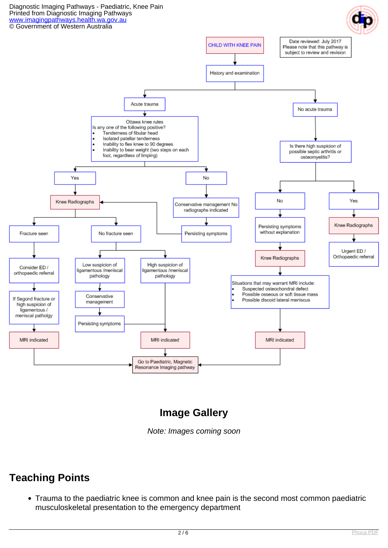Diagnostic Imaging Pathways - Paediatric, Knee Pain Printed from Diagnostic Imaging Pathways [www.imagingpathways.health.wa.gov.au](http://www.imagingpathways.health.wa.gov.au/) © Government of Western Australia



### **Image Gallery**

Note: Images coming soon

#### **Teaching Points**

Trauma to the paediatric knee is common and knee pain is the second most common paediatric musculoskeletal presentation to the emergency department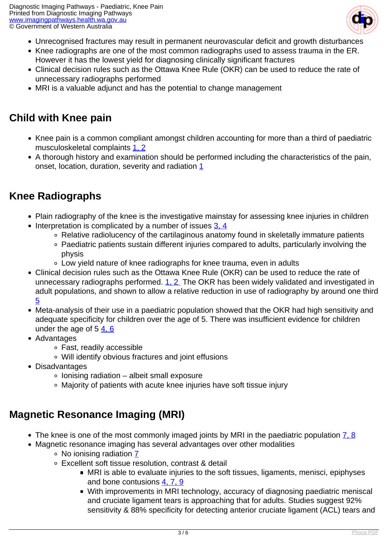

- Unrecognised fractures may result in permanent neurovascular deficit and growth disturbances
- Knee radiographs are one of the most common radiographs used to assess trauma in the ER. However it has the lowest yield for diagnosing clinically significant fractures
- Clinical decision rules such as the Ottawa Knee Rule (OKR) can be used to reduce the rate of unnecessary radiographs performed
- MRI is a valuable adjunct and has the potential to change management

### **Child with Knee pain**

- Knee pain is a common compliant amongst children accounting for more than a third of paediatric musculoskeletal complaints [1, 2](index.php?option=com_content&view=article&id=233&tab=references#1)
- A thorough history and examination should be performed including the characteristics of the pain, onset, location, duration, severity and radiation [1](index.php?option=com_content&view=article&id=233&tab=references#1)

## **Knee Radiographs**

- Plain radiography of the knee is the investigative mainstay for assessing knee injuries in children
- $\bullet$  Interpretation is complicated by a number of issues [3, 4](index.php?option=com_content&view=article&id=233&tab=references#1)
	- Relative radiolucency of the cartilaginous anatomy found in skeletally immature patients
	- Paediatric patients sustain different injuries compared to adults, particularly involving the physis
	- Low yield nature of knee radiographs for knee trauma, even in adults
- Clinical decision rules such as the Ottawa Knee Rule (OKR) can be used to reduce the rate of unnecessary radiographs performed. 1. 2 The OKR has been widely validated and investigated in adult populations, and shown to allow a relative reduction in use of radiography by around one third [5](index.php?option=com_content&view=article&id=233&tab=references#1)
- Meta-analysis of their use in a paediatric population showed that the OKR had high sensitivity and adequate specificity for children over the age of 5. There was insufficient evidence for children under the age of  $5, 4, 6$  $5, 4, 6$
- Advantages
	- Fast, readily accessible
	- Will identify obvious fractures and joint effusions
- Disadvantages
	- $\circ$  lonising radiation albeit small exposure
	- Majority of patients with acute knee injuries have soft tissue injury

### **Magnetic Resonance Imaging (MRI)**

- The knee is one of the most commonly imaged joints by MRI in the paediatric population  $\overline{7, 8}$  $\overline{7, 8}$  $\overline{7, 8}$
- Magnetic resonance imaging has several advantages over other modalities No ionising radiation [7](index.php?option=com_content&view=article&id=233&tab=references#1)
	- Excellent soft tissue resolution, contrast & detail
		- MRI is able to evaluate injuries to the soft tissues, ligaments, menisci, epiphyses and bone contusions [4, 7, 9](index.php?option=com_content&view=article&id=233&tab=references#1)
		- With improvements in MRI technology, accuracy of diagnosing paediatric meniscal and cruciate ligament tears is approaching that for adults. Studies suggest 92% sensitivity & 88% specificity for detecting anterior cruciate ligament (ACL) tears and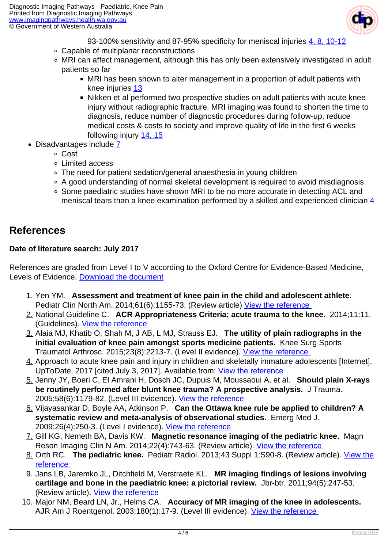

93-100% sensitivity and 87-95% specificity for meniscal injuries [4, 8, 10-12](index.php?option=com_content&view=article&id=233&tab=references#1)

- Capable of multiplanar reconstructions
- MRI can affect management, although this has only been extensively investigated in adult patients so far
	- MRI has been shown to alter management in a proportion of adult patients with knee injuries [13](index.php?option=com_content&view=article&id=233&tab=references#1)
	- Nikken et al performed two prospective studies on adult patients with acute knee injury without radiographic fracture. MRI imaging was found to shorten the time to diagnosis, reduce number of diagnostic procedures during follow-up, reduce medical costs & costs to society and improve quality of life in the first 6 weeks following injury [14, 15](index.php?option=com_content&view=article&id=233&tab=references#1)
- $\bullet$  Disadvantages include  $\overline{7}$ 
	- Cost
	- Limited access
	- The need for patient sedation/general anaesthesia in young children
	- A good understanding of normal skeletal development is required to avoid misdiagnosis
	- Some paediatric studies have shown MRI to be no more accurate in detecting ACL and meniscal tears than a knee examination performed by a skilled and experienced clinician [4](index.php?option=com_content&view=article&id=233&tab=references#1)

#### **References**

#### **Date of literature search: July 2017**

References are graded from Level I to V according to the Oxford Centre for Evidence-Based Medicine, Levels of Evidence. [Download the document](http://www.cebm.net/wp-content/uploads/2014/06/CEBM-Levels-of-Evidence-2.1.pdf)

- 1. Yen YM. **Assessment and treatment of knee pain in the child and adolescent athlete.**  Pediatr Clin North Am. 2014;61(6):1155-73. (Review article) [View the reference](https://www.ncbi.nlm.nih.gov/pubmed/25439017 )
- 2. National Guideline C. **ACR Appropriateness Criteria; acute trauma to the knee.** 2014;11:11. (Guidelines). [View the reference](https://www.guideline.gov/summaries/summary/49076 )
- 3. Alaia MJ, Khatib O, Shah M, J AB, L MJ, Strauss EJ. **The utility of plain radiographs in the initial evaluation of knee pain amongst sports medicine patients.** Knee Surg Sports Traumatol Arthrosc. 2015;23(8):2213-7. (Level II evidence). View the reference
- 4. Approach to acute knee pain and injury in children and skeletally immature adolescents [Internet]. UpToDate. 2017 [cited July 3, 2017]. Available from: View the reference
- 5. Jenny JY, Boeri C, El Amrani H, Dosch JC, Dupuis M, Moussaoui A, et al. **Should plain X-rays be routinely performed after blunt knee trauma? A prospective analysis.** J Trauma. 2005;58(6):1179-82. (Level III evidence). View the reference
- 6. Vijayasankar D, Boyle AA, Atkinson P. **Can the Ottawa knee rule be applied to children? A systematic review and meta-analysis of observational studies.** Emerg Med J. 2009;26(4):250-3. (Level I evidence). [View the reference](https://www.ncbi.nlm.nih.gov/pubmed/19307383 )
- 7. Gill KG, Nemeth BA, Davis KW. **Magnetic resonance imaging of the pediatric knee.** Magn Reson Imaging Clin N Am. 2014;22(4):743-63. (Review article). [View the reference](https://www.ncbi.nlm.nih.gov/pubmed/25442031 )
- 8. Orth RC. **The pediatric knee.** Pediatr Radiol. 2013;43 Suppl 1:S90-8. (Review article). [View the](https://www.ncbi.nlm.nih.gov/pubmed/23478924 ) [reference](https://www.ncbi.nlm.nih.gov/pubmed/23478924 )
- 9. Jans LB, Jaremko JL, Ditchfield M, Verstraete KL. **MR imaging findings of lesions involving cartilage and bone in the paediatric knee: a pictorial review.** Jbr-btr. 2011;94(5):247-53. (Review article). [View the reference](https://www.ncbi.nlm.nih.gov/pubmed/22191289 )
- 10. Major NM, Beard LN, Jr., Helms CA. **Accuracy of MR imaging of the knee in adolescents.**  AJR Am J Roentgenol. 2003;180(1):17-9. (Level III evidence). [View the reference](https://www.ncbi.nlm.nih.gov/pubmed/12490470 )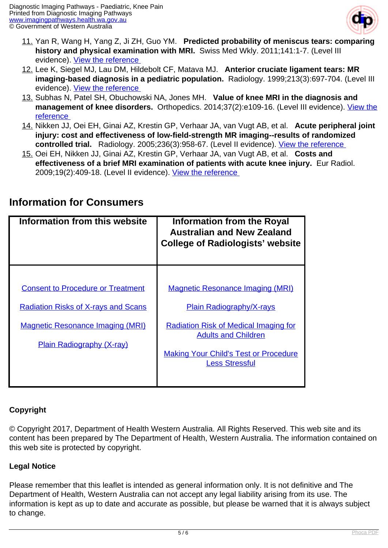

- 11. Yan R, Wang H, Yang Z, Ji ZH, Guo YM. **Predicted probability of meniscus tears: comparing history and physical examination with MRI.** Swiss Med Wkly. 2011;141:1-7. (Level III evidence). View the reference
- 12. Lee K, Siegel MJ, Lau DM, Hildebolt CF, Matava MJ. **Anterior cruciate ligament tears: MR imaging-based diagnosis in a pediatric population.** Radiology. 1999;213(3):697-704. (Level III evidence). [View the reference](https://www.ncbi.nlm.nih.gov/pubmed/10580941 )
- 13. Subhas N, Patel SH, Obuchowski NA, Jones MH. **Value of knee MRI in the diagnosis and** management of knee disorders. Orthopedics. 2014;37(2):e109-16. (Level III evidence). [View the](https://www.ncbi.nlm.nih.gov/pubmed/24679195 ) [reference](https://www.ncbi.nlm.nih.gov/pubmed/24679195 )
- 14. Nikken JJ, Oei EH, Ginai AZ, Krestin GP, Verhaar JA, van Vugt AB, et al. **Acute peripheral joint injury: cost and effectiveness of low-field-strength MR imaging--results of randomized controlled trial.** Radiology. 2005;236(3):958-67. (Level II evidence). [View the reference](https://www.ncbi.nlm.nih.gov/pubmed/16118171 )
- 15. Oei EH, Nikken JJ, Ginai AZ, Krestin GP, Verhaar JA, van Vugt AB, et al. **Costs and effectiveness of a brief MRI examination of patients with acute knee injury.** Eur Radiol. 2009;19(2):409-18. (Level II evidence). View the reference

| Information from this website                                                                                                                                         | <b>Information from the Royal</b><br><b>Australian and New Zealand</b><br><b>College of Radiologists' website</b>                                                                                                                 |
|-----------------------------------------------------------------------------------------------------------------------------------------------------------------------|-----------------------------------------------------------------------------------------------------------------------------------------------------------------------------------------------------------------------------------|
| <b>Consent to Procedure or Treatment</b><br><b>Radiation Risks of X-rays and Scans</b><br><b>Magnetic Resonance Imaging (MRI)</b><br><b>Plain Radiography (X-ray)</b> | <b>Magnetic Resonance Imaging (MRI)</b><br><b>Plain Radiography/X-rays</b><br><b>Radiation Risk of Medical Imaging for</b><br><b>Adults and Children</b><br><b>Making Your Child's Test or Procedure</b><br><b>Less Stressful</b> |

#### **Information for Consumers**

#### **Copyright**

© Copyright 2017, Department of Health Western Australia. All Rights Reserved. This web site and its content has been prepared by The Department of Health, Western Australia. The information contained on this web site is protected by copyright.

#### **Legal Notice**

Please remember that this leaflet is intended as general information only. It is not definitive and The Department of Health, Western Australia can not accept any legal liability arising from its use. The information is kept as up to date and accurate as possible, but please be warned that it is always subject to change.